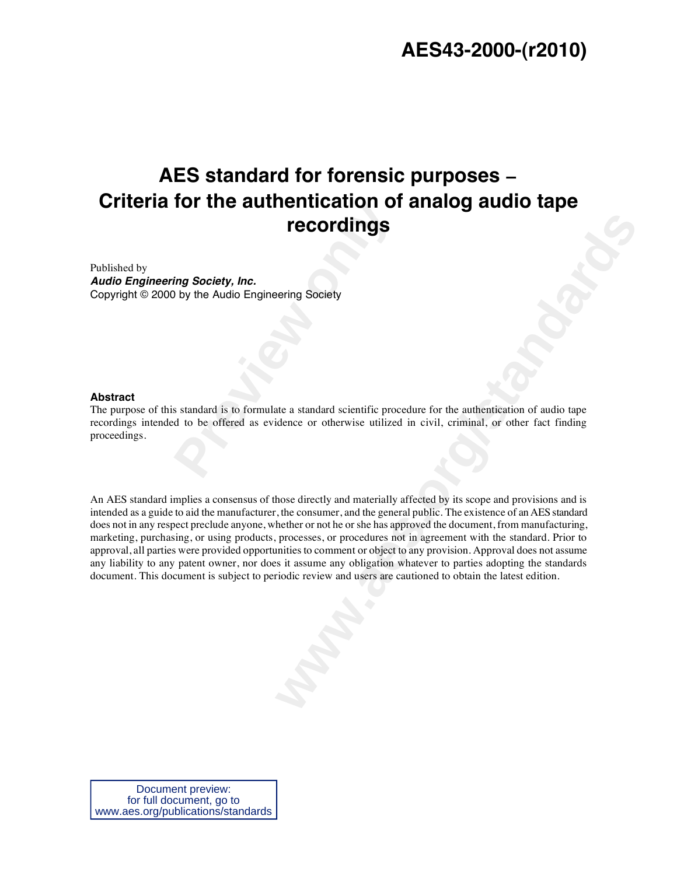# **AES43-2000-(r2010)**

# **Previously and Society, Inc.**<br> **Previously the Audio Engineering Society**<br> **Previously the Audio Engineering Society**<br> **Provide a standard scientific proced to be offered as evidence or otherwise utilized AES standard for forensic purposes Criteria for the authentication of analog audio tape recordings**

Published by *Audio Engineering Society, Inc.* Copyright © 2000 by the Audio Engineering Society

#### **Abstract**

The purpose of this standard is to formulate a standard scientific procedure for the authentication of audio tape recordings intended to be offered as evidence or otherwise utilized in civil, criminal, or other fact finding proceedings.

**PECOPURINGS**<br> **Example 9**<br> **Example 9**<br> **Example 9**<br> **Example 9**<br> **Example 9**<br> **Example 9**<br> **Example 9**<br> **Example 9**<br> **Example 9**<br> **Example 9**<br> **Example 9**<br> **Example 9**<br> **Example 9**<br> **Example 9**<br> **Example 9**<br> **Example 9**<br> An AES standard implies a consensus of those directly and materially affected by its scope and provisions and is intended as a guide to aid the manufacturer, the consumer, and the general public. The existence of an AES standard does not in any respect preclude anyone, whether or not he or she has approved the document, from manufacturing, marketing, purchasing, or using products, processes, or procedures not in agreement with the standard. Prior to approval, all parties were provided opportunities to comment or object to any provision. Approval does not assume any liability to any patent owner, nor does it assume any obligation whatever to parties adopting the standards document. This document is subject to periodic review and users are cautioned to obtain the latest edition.

Document preview: for full document, go to www.aes.org/publications/standards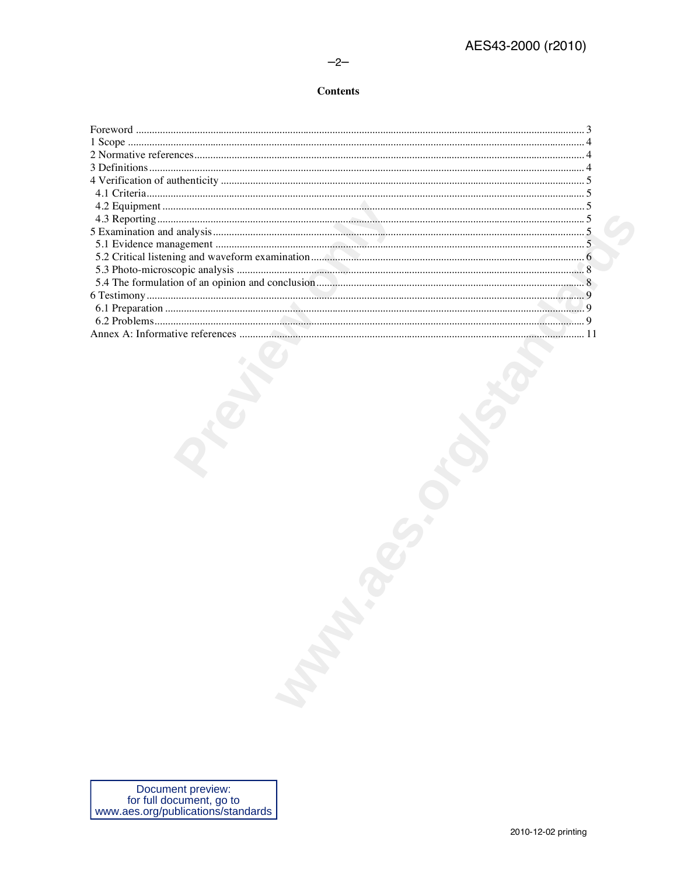### $-2-$

## **Contents**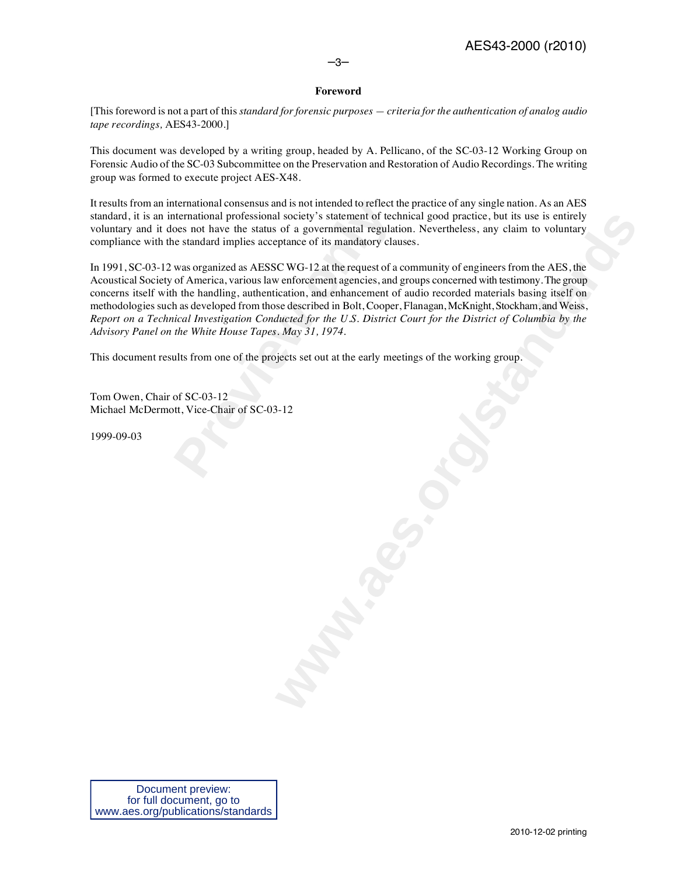–3–

## **Foreword**

[This foreword is not a part of this *standard for forensic purposes — criteria for the authentication of analog audio tape recordings,* AES43-2000.]

This document was developed by a writing group, headed by A. Pellicano, of the SC-03-12 Working Group on Forensic Audio of the SC-03 Subcommittee on the Preservation and Restoration of Audio Recordings. The writing group was formed to execute project AES-X48.

It results from an international consensus and is not intended to reflect the practice of any single nation. As an AES standard, it is an international professional society's statement of technical good practice, but its use is entirely voluntary and it does not have the status of a governmental regulation. Nevertheless, any claim to voluntary compliance with the standard implies acceptance of its mandatory clauses.

remational consensus and is not intended to reflect the<br>remational professional society's statement of tech<br>does not have the status of a governmental regulatie<br>e standard implies acceptance of its mandatory clau<br>was organ al society's statement of cechnical good practice, but its use is entirely<br>statement of cechnical good practice, but its use is entirely<br>phane of its mandatory clauses.<br>CCWG-12 at the request of a community of engineers fr In 1991, SC-03-12 was organized as AESSC WG-12 at the request of a community of engineers from the AES, the Acoustical Society of America, various law enforcement agencies, and groups concerned with testimony. The group concerns itself with the handling, authentication, and enhancement of audio recorded materials basing itself on methodologies such as developed from those described in Bolt, Cooper, Flanagan, McKnight, Stockham, and Weiss, *Report on a Technical Investigation Conducted for the U.S. District Court for the District of Columbia by the Advisory Panel on the White House Tapes. May 31, 1974*.

This document results from one of the projects set out at the early meetings of the working group.

Tom Owen, Chair of SC-03-12 Michael McDermott, Vice-Chair of SC-03-12

1999-09-03

Document preview: for full document, go to www.aes.org/publications/standards